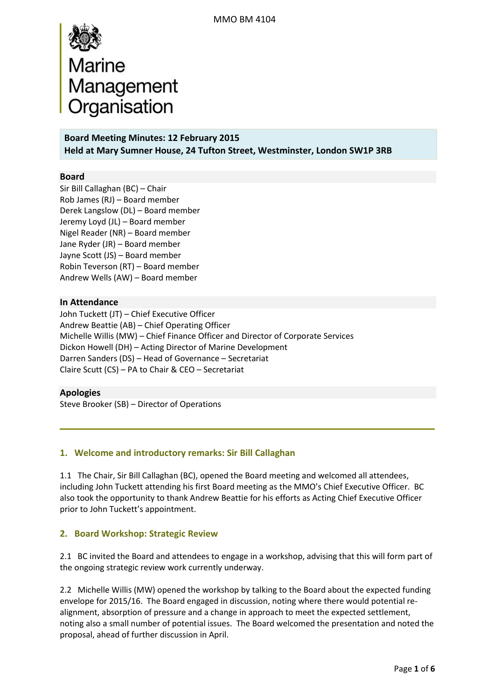

**Board Meeting Minutes: 12 February 2015 Held at Mary Sumner House, 24 Tufton Street, Westminster, London SW1P 3RB**

#### **Board**

Sir Bill Callaghan (BC) – Chair Rob James (RJ) – Board member Derek Langslow (DL) – Board member Jeremy Loyd (JL) – Board member Nigel Reader (NR) – Board member Jane Ryder (JR) – Board member Jayne Scott (JS) – Board member Robin Teverson (RT) – Board member Andrew Wells (AW) – Board member

#### **In Attendance**

John Tuckett (JT) – Chief Executive Officer Andrew Beattie (AB) – Chief Operating Officer Michelle Willis (MW) – Chief Finance Officer and Director of Corporate Services Dickon Howell (DH) – Acting Director of Marine Development Darren Sanders (DS) – Head of Governance – Secretariat Claire Scutt (CS) – PA to Chair & CEO – Secretariat

#### **Apologies**

Steve Brooker (SB) – Director of Operations

### **1. Welcome and introductory remarks: Sir Bill Callaghan**

1.1The Chair, Sir Bill Callaghan (BC), opened the Board meeting and welcomed all attendees, including John Tuckett attending his first Board meeting as the MMO's Chief Executive Officer. BC also took the opportunity to thank Andrew Beattie for his efforts as Acting Chief Executive Officer prior to John Tuckett's appointment.

#### **2. Board Workshop: Strategic Review**

2.1 BC invited the Board and attendees to engage in a workshop, advising that this will form part of the ongoing strategic review work currently underway.

2.2 Michelle Willis (MW) opened the workshop by talking to the Board about the expected funding envelope for 2015/16. The Board engaged in discussion, noting where there would potential realignment, absorption of pressure and a change in approach to meet the expected settlement, noting also a small number of potential issues. The Board welcomed the presentation and noted the proposal, ahead of further discussion in April.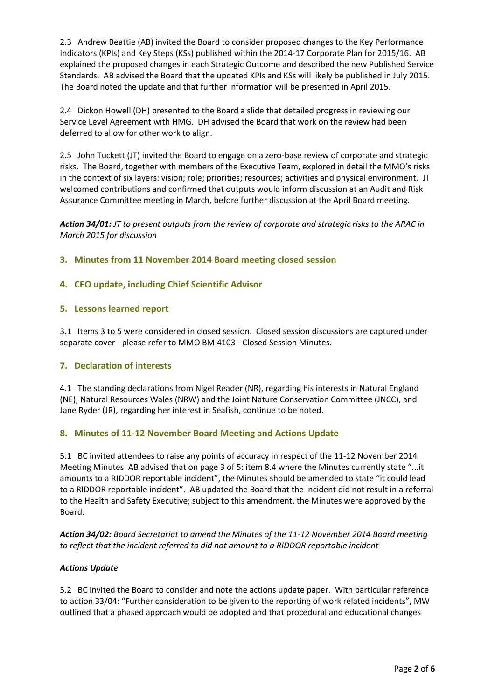2.3 Andrew Beattie (AB) invited the Board to consider proposed changes to the Key Performance Indicators (KPIs) and Key Steps (KSs) published within the 2014-17 Corporate Plan for 2015/16. AB explained the proposed changes in each Strategic Outcome and described the new Published Service Standards. AB advised the Board that the updated KPIs and KSs will likely be published in July 2015. The Board noted the update and that further information will be presented in April 2015.

2.4 Dickon Howell (DH) presented to the Board a slide that detailed progress in reviewing our Service Level Agreement with HMG. DH advised the Board that work on the review had been deferred to allow for other work to align.

2.5 John Tuckett (JT) invited the Board to engage on a zero-base review of corporate and strategic risks. The Board, together with members of the Executive Team, explored in detail the MMO's risks in the context of six layers: vision; role; priorities; resources; activities and physical environment. JT welcomed contributions and confirmed that outputs would inform discussion at an Audit and Risk Assurance Committee meeting in March, before further discussion at the April Board meeting.

*Action 34/01: JT to present outputs from the review of corporate and strategic risks to the ARAC in March 2015 for discussion*

**3. Minutes from 11 November 2014 Board meeting closed session**

# **4. CEO update, including Chief Scientific Advisor**

## **5. Lessons learned report**

3.1 Items 3 to 5 were considered in closed session. Closed session discussions are captured under separate cover - please refer to MMO BM 4103 - Closed Session Minutes.

## **7. Declaration of interests**

4.1 The standing declarations from Nigel Reader (NR), regarding his interests in Natural England (NE), Natural Resources Wales (NRW) and the Joint Nature Conservation Committee (JNCC), and Jane Ryder (JR), regarding her interest in Seafish, continue to be noted.

#### **8. Minutes of 11-12 November Board Meeting and Actions Update**

5.1 BC invited attendees to raise any points of accuracy in respect of the 11-12 November 2014 Meeting Minutes. AB advised that on page 3 of 5: item 8.4 where the Minutes currently state "...it amounts to a RIDDOR reportable incident", the Minutes should be amended to state "it could lead to a RIDDOR reportable incident". AB updated the Board that the incident did not result in a referral to the Health and Safety Executive; subject to this amendment, the Minutes were approved by the Board.

*Action 34/02: Board Secretariat to amend the Minutes of the 11-12 November 2014 Board meeting to reflect that the incident referred to did not amount to a RIDDOR reportable incident*

#### *Actions Update*

5.2 BC invited the Board to consider and note the actions update paper. With particular reference to action 33/04: "Further consideration to be given to the reporting of work related incidents", MW outlined that a phased approach would be adopted and that procedural and educational changes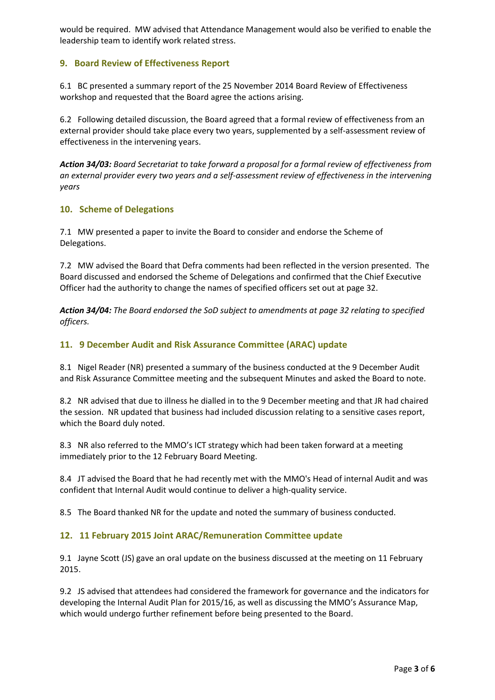would be required. MW advised that Attendance Management would also be verified to enable the leadership team to identify work related stress.

## **9. Board Review of Effectiveness Report**

6.1 BC presented a summary report of the 25 November 2014 Board Review of Effectiveness workshop and requested that the Board agree the actions arising.

6.2 Following detailed discussion, the Board agreed that a formal review of effectiveness from an external provider should take place every two years, supplemented by a self-assessment review of effectiveness in the intervening years.

*Action 34/03: Board Secretariat to take forward a proposal for a formal review of effectiveness from an external provider every two years and a self-assessment review of effectiveness in the intervening years*

### **10. Scheme of Delegations**

7.1 MW presented a paper to invite the Board to consider and endorse the Scheme of Delegations.

7.2 MW advised the Board that Defra comments had been reflected in the version presented. The Board discussed and endorsed the Scheme of Delegations and confirmed that the Chief Executive Officer had the authority to change the names of specified officers set out at page 32.

*Action 34/04: The Board endorsed the SoD subject to amendments at page 32 relating to specified officers.*

### **11. 9 December Audit and Risk Assurance Committee (ARAC) update**

8.1 Nigel Reader (NR) presented a summary of the business conducted at the 9 December Audit and Risk Assurance Committee meeting and the subsequent Minutes and asked the Board to note.

8.2 NR advised that due to illness he dialled in to the 9 December meeting and that JR had chaired the session. NR updated that business had included discussion relating to a sensitive cases report, which the Board duly noted.

8.3 NR also referred to the MMO's ICT strategy which had been taken forward at a meeting immediately prior to the 12 February Board Meeting.

8.4 JT advised the Board that he had recently met with the MMO's Head of internal Audit and was confident that Internal Audit would continue to deliver a high-quality service.

8.5 The Board thanked NR for the update and noted the summary of business conducted.

## **12. 11 February 2015 Joint ARAC/Remuneration Committee update**

9.1 Jayne Scott (JS) gave an oral update on the business discussed at the meeting on 11 February 2015.

9.2 JS advised that attendees had considered the framework for governance and the indicators for developing the Internal Audit Plan for 2015/16, as well as discussing the MMO's Assurance Map, which would undergo further refinement before being presented to the Board.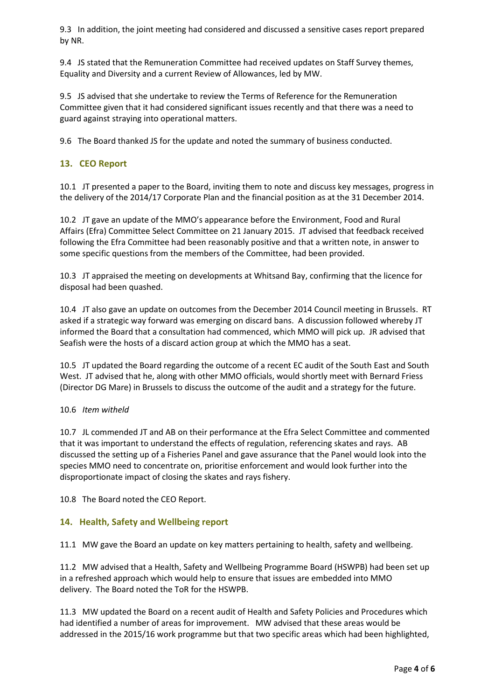9.3 In addition, the joint meeting had considered and discussed a sensitive cases report prepared by NR.

9.4 JS stated that the Remuneration Committee had received updates on Staff Survey themes, Equality and Diversity and a current Review of Allowances, led by MW.

9.5 JS advised that she undertake to review the Terms of Reference for the Remuneration Committee given that it had considered significant issues recently and that there was a need to guard against straying into operational matters.

9.6 The Board thanked JS for the update and noted the summary of business conducted.

## **13. CEO Report**

10.1 JT presented a paper to the Board, inviting them to note and discuss key messages, progress in the delivery of the 2014/17 Corporate Plan and the financial position as at the 31 December 2014.

10.2 JT gave an update of the MMO's appearance before the Environment, Food and Rural Affairs (Efra) Committee Select Committee on 21 January 2015. JT advised that feedback received following the Efra Committee had been reasonably positive and that a written note, in answer to some specific questions from the members of the Committee, had been provided.

10.3 JT appraised the meeting on developments at Whitsand Bay, confirming that the licence for disposal had been quashed.

10.4 JT also gave an update on outcomes from the December 2014 Council meeting in Brussels. RT asked if a strategic way forward was emerging on discard bans. A discussion followed whereby JT informed the Board that a consultation had commenced, which MMO will pick up. JR advised that Seafish were the hosts of a discard action group at which the MMO has a seat.

10.5 JT updated the Board regarding the outcome of a recent EC audit of the South East and South West. JT advised that he, along with other MMO officials, would shortly meet with Bernard Friess (Director DG Mare) in Brussels to discuss the outcome of the audit and a strategy for the future.

#### 10.6 *Item witheld*

10.7 JL commended JT and AB on their performance at the Efra Select Committee and commented that it was important to understand the effects of regulation, referencing skates and rays. AB discussed the setting up of a Fisheries Panel and gave assurance that the Panel would look into the species MMO need to concentrate on, prioritise enforcement and would look further into the disproportionate impact of closing the skates and rays fishery.

10.8 The Board noted the CEO Report.

## **14. Health, Safety and Wellbeing report**

11.1 MW gave the Board an update on key matters pertaining to health, safety and wellbeing.

11.2 MW advised that a Health, Safety and Wellbeing Programme Board (HSWPB) had been set up in a refreshed approach which would help to ensure that issues are embedded into MMO delivery. The Board noted the ToR for the HSWPB.

11.3 MW updated the Board on a recent audit of Health and Safety Policies and Procedures which had identified a number of areas for improvement. MW advised that these areas would be addressed in the 2015/16 work programme but that two specific areas which had been highlighted,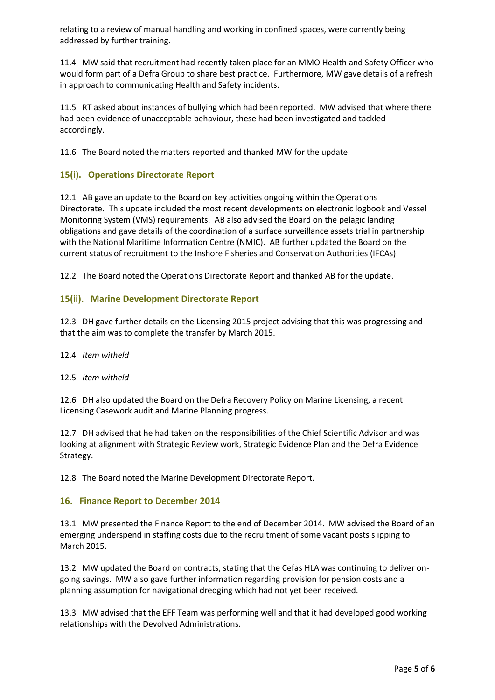relating to a review of manual handling and working in confined spaces, were currently being addressed by further training.

11.4 MW said that recruitment had recently taken place for an MMO Health and Safety Officer who would form part of a Defra Group to share best practice. Furthermore, MW gave details of a refresh in approach to communicating Health and Safety incidents.

11.5 RT asked about instances of bullying which had been reported. MW advised that where there had been evidence of unacceptable behaviour, these had been investigated and tackled accordingly.

11.6 The Board noted the matters reported and thanked MW for the update.

## **15(i). Operations Directorate Report**

12.1 AB gave an update to the Board on key activities ongoing within the Operations Directorate. This update included the most recent developments on electronic logbook and Vessel Monitoring System (VMS) requirements. AB also advised the Board on the pelagic landing obligations and gave details of the coordination of a surface surveillance assets trial in partnership with the National Maritime Information Centre (NMIC). AB further updated the Board on the current status of recruitment to the Inshore Fisheries and Conservation Authorities (IFCAs).

12.2 The Board noted the Operations Directorate Report and thanked AB for the update.

# **15(ii). Marine Development Directorate Report**

12.3 DH gave further details on the Licensing 2015 project advising that this was progressing and that the aim was to complete the transfer by March 2015.

#### 12.4 *Item witheld*

#### 12.5 *Item witheld*

12.6 DH also updated the Board on the Defra Recovery Policy on Marine Licensing, a recent Licensing Casework audit and Marine Planning progress.

12.7 DH advised that he had taken on the responsibilities of the Chief Scientific Advisor and was looking at alignment with Strategic Review work, Strategic Evidence Plan and the Defra Evidence Strategy.

12.8 The Board noted the Marine Development Directorate Report.

## **16. Finance Report to December 2014**

13.1 MW presented the Finance Report to the end of December 2014. MW advised the Board of an emerging underspend in staffing costs due to the recruitment of some vacant posts slipping to March 2015.

13.2 MW updated the Board on contracts, stating that the Cefas HLA was continuing to deliver ongoing savings. MW also gave further information regarding provision for pension costs and a planning assumption for navigational dredging which had not yet been received.

13.3 MW advised that the EFF Team was performing well and that it had developed good working relationships with the Devolved Administrations.